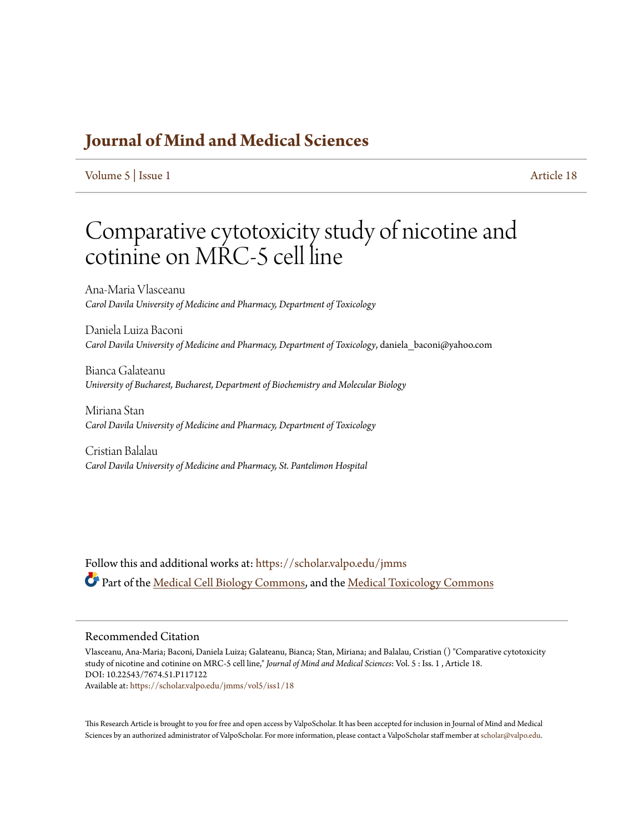### **[Journal of Mind and Medical Sciences](https://scholar.valpo.edu/jmms?utm_source=scholar.valpo.edu%2Fjmms%2Fvol5%2Fiss1%2F18&utm_medium=PDF&utm_campaign=PDFCoverPages)**

[Volume 5](https://scholar.valpo.edu/jmms/vol5?utm_source=scholar.valpo.edu%2Fjmms%2Fvol5%2Fiss1%2F18&utm_medium=PDF&utm_campaign=PDFCoverPages) | [Issue 1](https://scholar.valpo.edu/jmms/vol5/iss1?utm_source=scholar.valpo.edu%2Fjmms%2Fvol5%2Fiss1%2F18&utm_medium=PDF&utm_campaign=PDFCoverPages) [Article 18](https://scholar.valpo.edu/jmms/vol5/iss1/18?utm_source=scholar.valpo.edu%2Fjmms%2Fvol5%2Fiss1%2F18&utm_medium=PDF&utm_campaign=PDFCoverPages)

## Comparative cytotoxicity study of nicotine and cotinine on MRC-5 cell line

Ana-Maria Vlasceanu *Carol Davila University of Medicine and Pharmacy, Department of Toxicology*

Daniela Luiza Baconi *Carol Davila University of Medicine and Pharmacy, Department of Toxicology*, daniela\_baconi@yahoo.com

Bianca Galateanu *University of Bucharest, Bucharest, Department of Biochemistry and Molecular Biology*

Miriana Stan *Carol Davila University of Medicine and Pharmacy, Department of Toxicology*

Cristian Balalau *Carol Davila University of Medicine and Pharmacy, St. Pantelimon Hospital*

Follow this and additional works at: [https://scholar.valpo.edu/jmms](https://scholar.valpo.edu/jmms?utm_source=scholar.valpo.edu%2Fjmms%2Fvol5%2Fiss1%2F18&utm_medium=PDF&utm_campaign=PDFCoverPages) Part of the [Medical Cell Biology Commons](http://network.bepress.com/hgg/discipline/669?utm_source=scholar.valpo.edu%2Fjmms%2Fvol5%2Fiss1%2F18&utm_medium=PDF&utm_campaign=PDFCoverPages), and the [Medical Toxicology Commons](http://network.bepress.com/hgg/discipline/678?utm_source=scholar.valpo.edu%2Fjmms%2Fvol5%2Fiss1%2F18&utm_medium=PDF&utm_campaign=PDFCoverPages)

#### Recommended Citation

Vlasceanu, Ana-Maria; Baconi, Daniela Luiza; Galateanu, Bianca; Stan, Miriana; and Balalau, Cristian () "Comparative cytotoxicity study of nicotine and cotinine on MRC-5 cell line," *Journal of Mind and Medical Sciences*: Vol. 5 : Iss. 1 , Article 18. DOI: 10.22543/7674.51.P117122 Available at: [https://scholar.valpo.edu/jmms/vol5/iss1/18](https://scholar.valpo.edu/jmms/vol5/iss1/18?utm_source=scholar.valpo.edu%2Fjmms%2Fvol5%2Fiss1%2F18&utm_medium=PDF&utm_campaign=PDFCoverPages)

This Research Article is brought to you for free and open access by ValpoScholar. It has been accepted for inclusion in Journal of Mind and Medical Sciences by an authorized administrator of ValpoScholar. For more information, please contact a ValpoScholar staff member at [scholar@valpo.edu](mailto:scholar@valpo.edu).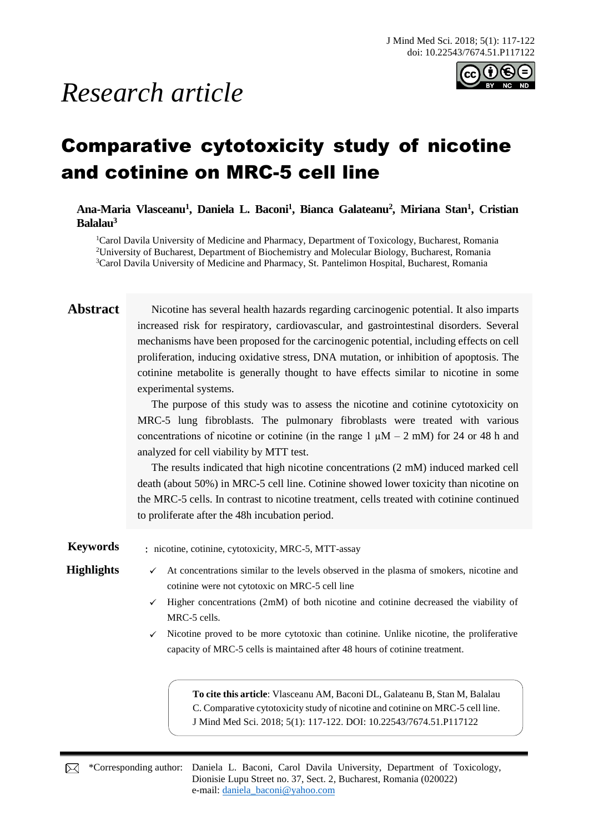# *Research article*



## Comparative cytotoxicity study of nicotine and cotinine on MRC-5 cell line

**Ana-Maria Vlasceanu<sup>1</sup> , Daniela L. Baconi<sup>1</sup> , Bianca Galateanu<sup>2</sup> , Miriana Stan<sup>1</sup> , Cristian Balalau<sup>3</sup>**

<sup>1</sup>Carol Davila University of Medicine and Pharmacy, Department of Toxicology, Bucharest, Romania <sup>2</sup>University of Bucharest, Department of Biochemistry and Molecular Biology, Bucharest, Romania <sup>3</sup>Carol Davila University of Medicine and Pharmacy, St. Pantelimon Hospital, Bucharest, Romania

**Abstract** Nicotine has several health hazards regarding carcinogenic potential. It also imparts increased risk for respiratory, cardiovascular, and gastrointestinal disorders. Several mechanisms have been proposed for the carcinogenic potential, including effects on cell proliferation, inducing oxidative stress, DNA mutation, or inhibition of apoptosis. The cotinine metabolite is generally thought to have effects similar to nicotine in some experimental systems.

> The purpose of this study was to assess the nicotine and cotinine cytotoxicity on MRC-5 lung fibroblasts. The pulmonary fibroblasts were treated with various concentrations of nicotine or cotinine (in the range 1  $\mu$ M – 2 mM) for 24 or 48 h and analyzed for cell viability by MTT test.

> The results indicated that high nicotine concentrations (2 mM) induced marked cell death (about 50%) in MRC-5 cell line. Cotinine showed lower toxicity than nicotine on the MRC-5 cells. In contrast to nicotine treatment, cells treated with cotinine continued to proliferate after the 48h incubation period.

**Keywords** : nicotine, cotinine, cytotoxicity, MRC-5, MTT-assay

- **Highlights** ✓ At concentrations similar to the levels observed in the plasma of smokers, nicotine and cotinine were not cytotoxic on MRC-5 cell line
	- $\checkmark$  Higher concentrations (2mM) of both nicotine and cotinine decreased the viability of MRC-5 cells.
	- $\checkmark$  Nicotine proved to be more cytotoxic than cotinine. Unlike nicotine, the proliferative capacity of MRC-5 cells is maintained after 48 hours of cotinine treatment.

**To cite this article**: Vlasceanu AM, Baconi DL, Galateanu B, Stan M, Balalau C. Comparative cytotoxicity study of nicotine and cotinine on MRC-5 cell line. J Mind Med Sci. 2018; 5(1): 117-122. DOI: 10.22543/7674.51.P117122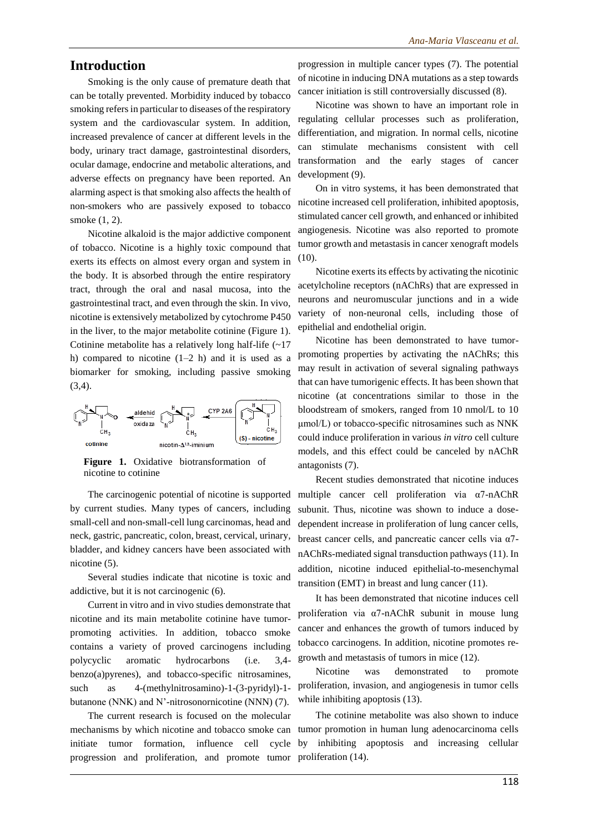#### **Introduction**

Smoking is the only cause of premature death that can be totally prevented. Morbidity induced by tobacco smoking refers in particular to diseases of the respiratory system and the cardiovascular system. In addition, increased prevalence of cancer at different levels in the body, urinary tract damage, gastrointestinal disorders, ocular damage, endocrine and metabolic alterations, and adverse effects on pregnancy have been reported. An alarming aspect is that smoking also affects the health of non-smokers who are passively exposed to tobacco smoke (1, 2).

Nicotine alkaloid is the major addictive component of tobacco. Nicotine is a highly toxic compound that exerts its effects on almost every organ and system in the body. It is absorbed through the entire respiratory tract, through the oral and nasal mucosa, into the gastrointestinal tract, and even through the skin. In vivo, nicotine is extensively metabolized by cytochrome P450 in the liver, to the major metabolite cotinine (Figure 1). Cotinine metabolite has a relatively long half-life (~17 h) compared to nicotine  $(1-2 h)$  and it is used as a biomarker for smoking, including passive smoking  $(3,4)$ .



**Figure 1.** Oxidative biotransformation of nicotine to cotinine

The carcinogenic potential of nicotine is supported by current studies. Many types of cancers, including small-cell and non-small-cell lung carcinomas, head and neck, gastric, pancreatic, colon, breast, cervical, urinary, bladder, and kidney cancers have been associated with nicotine (5).

Several studies indicate that nicotine is toxic and addictive, but it is not carcinogenic (6).

Current in vitro and in vivo studies demonstrate that nicotine and its main metabolite cotinine have tumorpromoting activities. In addition, tobacco smoke contains a variety of proved carcinogens including polycyclic aromatic hydrocarbons (i.e. 3,4 benzo(a)pyrenes), and tobacco-specific nitrosamines, such as 4-(methylnitrosamino)-1-(3-pyridyl)-1 butanone (NNK) and N'-nitrosonornicotine (NNN) (7).

The current research is focused on the molecular progression and proliferation, and promote tumor proliferation (14).

progression in multiple cancer types (7). The potential of nicotine in inducing DNA mutations as a step towards cancer initiation is still controversially discussed (8).

Nicotine was shown to have an important role in regulating cellular processes such as proliferation, differentiation, and migration. In normal cells, nicotine can stimulate mechanisms consistent with cell transformation and the early stages of cancer development (9).

On in vitro systems, it has been demonstrated that nicotine increased cell proliferation, inhibited apoptosis, stimulated cancer cell growth, and enhanced or inhibited angiogenesis. Nicotine was also reported to promote tumor growth and metastasis in cancer xenograft models (10).

Nicotine exerts its effects by activating the nicotinic acetylcholine receptors (nAChRs) that are expressed in neurons and neuromuscular junctions and in a wide variety of non-neuronal cells, including those of epithelial and endothelial origin.

Nicotine has been demonstrated to have tumorpromoting properties by activating the nAChRs; this may result in activation of several signaling pathways that can have tumorigenic effects. It has been shown that nicotine (at concentrations similar to those in the bloodstream of smokers, ranged from 10 nmol/L to 10 μmol/L) or tobacco-specific nitrosamines such as NNK could induce proliferation in various *in vitro* cell culture models, and this effect could be canceled by nAChR antagonists (7).

Recent studies demonstrated that nicotine induces multiple cancer cell proliferation via α7-nAChR subunit. Thus, nicotine was shown to induce a dosedependent increase in proliferation of lung cancer cells, breast cancer cells, and pancreatic cancer cells via α7 nAChRs-mediated signal transduction pathways (11). In addition, nicotine induced epithelial-to-mesenchymal transition (EMT) in breast and lung cancer (11).

It has been demonstrated that nicotine induces cell proliferation via α7-nAChR subunit in mouse lung cancer and enhances the growth of tumors induced by tobacco carcinogens. In addition, nicotine promotes regrowth and metastasis of tumors in mice (12).

Nicotine was demonstrated to promote proliferation, invasion, and angiogenesis in tumor cells while inhibiting apoptosis  $(13)$ .

mechanisms by which nicotine and tobacco smoke can tumor promotion in human lung adenocarcinoma cells initiate tumor formation, influence cell cycle by inhibiting apoptosis and increasing cellular The cotinine metabolite was also shown to induce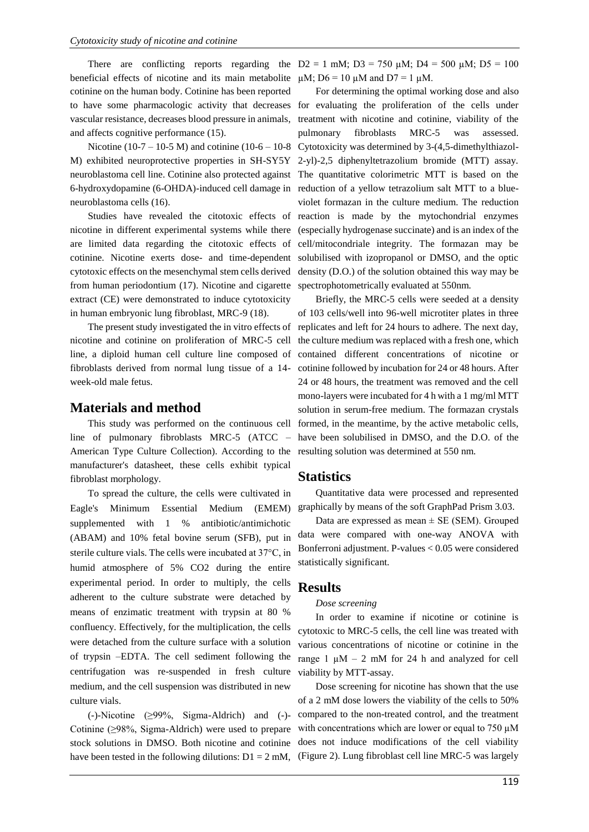beneficial effects of nicotine and its main metabolite  $\mu$ M; D6 = 10  $\mu$ M and D7 = 1  $\mu$ M. cotinine on the human body. Cotinine has been reported vascular resistance, decreases blood pressure in animals, and affects cognitive performance (15).

6-hydroxydopamine (6-OHDA)-induced cell damage in neuroblastoma cells (16).

cytotoxic effects on the mesenchymal stem cells derived from human periodontium (17). Nicotine and cigarette spectrophotometrically evaluated at 550nm. extract (CE) were demonstrated to induce cytotoxicity in human embryonic lung fibroblast, MRC-9 (18).

nicotine and cotinine on proliferation of MRC-5 cell line, a diploid human cell culture line composed of fibroblasts derived from normal lung tissue of a 14 week-old male fetus.

#### **Materials and method**

This study was performed on the continuous cell line of pulmonary fibroblasts MRC-5 (ATCC – American Type Culture Collection). According to the manufacturer's datasheet, these cells exhibit typical fibroblast morphology.

To spread the culture, the cells were cultivated in Eagle's Minimum Essential Medium (EMEM) supplemented with 1 % antibiotic/antimichotic (ABAM) and 10% fetal bovine serum (SFB), put in sterile culture vials. The cells were incubated at 37°C, in humid atmosphere of 5% CO2 during the entire experimental period. In order to multiply, the cells adherent to the culture substrate were detached by means of enzimatic treatment with trypsin at 80 % confluency. Effectively, for the multiplication, the cells were detached from the culture surface with a solution of trypsin –EDTA. The cell sediment following the centrifugation was re-suspended in fresh culture medium, and the cell suspension was distributed in new culture vials.

(-)-Nicotine (≥99%, Sigma-Aldrich) and (-)- Cotinine (≥98%, Sigma-Aldrich) were used to prepare stock solutions in DMSO. Both nicotine and cotinine have been tested in the following dilutions:  $D1 = 2$  mM, (Figure 2). Lung fibroblast cell line MRC-5 was largely

There are conflicting reports regarding the  $D2 = 1$  mM;  $D3 = 750 \mu M$ ;  $D4 = 500 \mu M$ ;  $D5 = 100$ 

to have some pharmacologic activity that decreases for evaluating the proliferation of the cells under Nicotine (10-7 – 10-5 M) and cotinine (10-6 – 10-8 Cytotoxicity was determined by 3-(4,5-dimethylthiazol-M) exhibited neuroprotective properties in SH-SY5Y 2-yl)-2,5 diphenyltetrazolium bromide (MTT) assay. neuroblastoma cell line. Cotinine also protected against The quantitative colorimetric MTT is based on the Studies have revealed the citotoxic effects of reaction is made by the mytochondrial enzymes nicotine in different experimental systems while there (especially hydrogenase succinate) and is an index of the are limited data regarding the citotoxic effects of cell/mitocondriale integrity. The formazan may be cotinine. Nicotine exerts dose- and time-dependent solubilised with izopropanol or DMSO, and the optic For determining the optimal working dose and also treatment with nicotine and cotinine, viability of the pulmonary fibroblasts MRC-5 was assessed. reduction of a yellow tetrazolium salt MTT to a blueviolet formazan in the culture medium. The reduction density (D.O.) of the solution obtained this way may be

The present study investigated the in vitro effects of replicates and left for 24 hours to adhere. The next day, Briefly, the MRC-5 cells were seeded at a density of 103 cells/well into 96-well microtiter plates in three the culture medium was replaced with a fresh one, which contained different concentrations of nicotine or cotinine followed by incubation for 24 or 48 hours. After 24 or 48 hours, the treatment was removed and the cell mono-layers were incubated for 4 h with a 1 mg/ml MTT solution in serum-free medium. The formazan crystals formed, in the meantime, by the active metabolic cells, have been solubilised in DMSO, and the D.O. of the resulting solution was determined at 550 nm.

#### **Statistics**

Quantitative data were processed and represented graphically by means of the soft GraphPad Prism 3.03.

Data are expressed as mean  $\pm$  SE (SEM). Grouped data were compared with one-way ANOVA with Bonferroni adjustment. P-values < 0.05 were considered statistically significant.

### **Results**

#### *Dose screening*

In order to examine if nicotine or cotinine is cytotoxic to MRC-5 cells, the cell line was treated with various concentrations of nicotine or cotinine in the range 1  $\mu$ M – 2 mM for 24 h and analyzed for cell viability by MTT-assay.

Dose screening for nicotine has shown that the use of a 2 mM dose lowers the viability of the cells to 50% compared to the non-treated control, and the treatment with concentrations which are lower or equal to  $750 \mu M$ does not induce modifications of the cell viability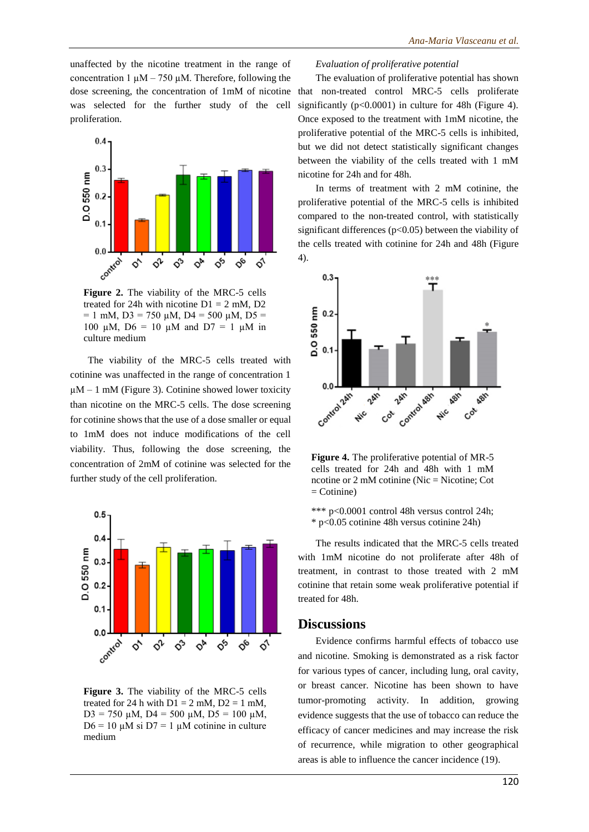unaffected by the nicotine treatment in the range of concentration 1  $\mu$ M – 750  $\mu$ M. Therefore, following the dose screening, the concentration of 1mM of nicotine was selected for the further study of the cell proliferation.



**Figure 2.** The viability of the MRC-5 cells treated for 24h with nicotine  $D1 = 2$  mM,  $D2$  $= 1$  mM, D3 = 750 µM, D4 = 500 µM, D5 = 100  $\mu$ M, D6 = 10  $\mu$ M and D7 = 1  $\mu$ M in culture medium

The viability of the MRC-5 cells treated with cotinine was unaffected in the range of concentration 1  $\mu$ M – 1 mM (Figure 3). Cotinine showed lower toxicity than nicotine on the MRC-5 cells. The dose screening for cotinine shows that the use of a dose smaller or equal to 1mM does not induce modifications of the cell viability. Thus, following the dose screening, the concentration of 2mM of cotinine was selected for the further study of the cell proliferation.



**Figure 3.** The viability of the MRC-5 cells treated for 24 h with  $D1 = 2$  mM,  $D2 = 1$  mM,  $D3 = 750 \mu M$ ,  $D4 = 500 \mu M$ ,  $D5 = 100 \mu M$ ,  $D6 = 10 \mu M$  si  $D7 = 1 \mu M$  cotinine in culture medium

#### *Evaluation of proliferative potential*

The evaluation of proliferative potential has shown that non-treated control MRC-5 cells proliferate significantly  $(p<0.0001)$  in culture for 48h (Figure 4). Once exposed to the treatment with 1mM nicotine, the proliferative potential of the MRC-5 cells is inhibited, but we did not detect statistically significant changes between the viability of the cells treated with 1 mM nicotine for 24h and for 48h.

In terms of treatment with 2 mM cotinine, the proliferative potential of the MRC-5 cells is inhibited compared to the non-treated control, with statistically significant differences ( $p<0.05$ ) between the viability of the cells treated with cotinine for 24h and 48h (Figure 4).



**Figure 4.** The proliferative potential of MR-5 cells treated for 24h and 48h with 1 mM ncotine or 2 mM cotinine (Nic = Nicotine; Cot = Cotinine)

\*\*\* p<0.0001 control 48h versus control 24h; \* p<0.05 cotinine 48h versus cotinine 24h)

The results indicated that the MRC-5 cells treated with 1mM nicotine do not proliferate after 48h of treatment, in contrast to those treated with 2 mM cotinine that retain some weak proliferative potential if treated for 48h.

#### **Discussions**

Evidence confirms harmful effects of tobacco use and nicotine. Smoking is demonstrated as a risk factor for various types of cancer, including lung, oral cavity, or breast cancer. Nicotine has been shown to have tumor-promoting activity. In addition, growing evidence suggests that the use of tobacco can reduce the efficacy of cancer medicines and may increase the risk of recurrence, while migration to other geographical areas is able to influence the cancer incidence (19).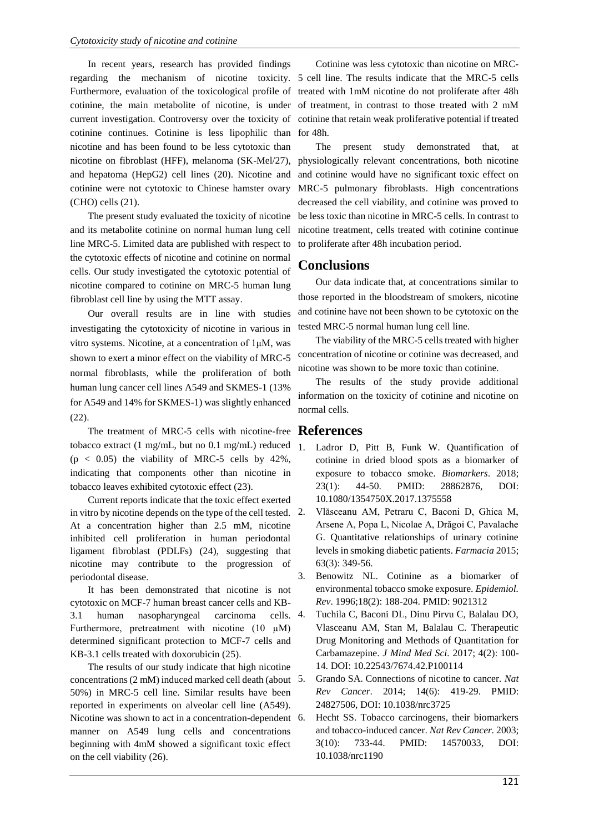In recent years, research has provided findings cotinine continues. Cotinine is less lipophilic than nicotine and has been found to be less cytotoxic than nicotine on fibroblast (HFF), melanoma (SK-Mel/27), and hepatoma (HepG2) cell lines (20). Nicotine and cotinine were not cytotoxic to Chinese hamster ovary (CHO) cells (21).

The present study evaluated the toxicity of nicotine and its metabolite cotinine on normal human lung cell line MRC-5. Limited data are published with respect to the cytotoxic effects of nicotine and cotinine on normal cells. Our study investigated the cytotoxic potential of nicotine compared to cotinine on MRC-5 human lung fibroblast cell line by using the MTT assay.

Our overall results are in line with studies investigating the cytotoxicity of nicotine in various in vitro systems. Nicotine, at a concentration of 1μM, was shown to exert a minor effect on the viability of MRC-5 normal fibroblasts, while the proliferation of both human lung cancer cell lines A549 and SKMES-1 (13% for A549 and 14% for SKMES-1) was slightly enhanced (22).

The treatment of MRC-5 cells with nicotine-free **References** tobacco extract (1 mg/mL, but no 0.1 mg/mL) reduced  $(p < 0.05)$  the viability of MRC-5 cells by 42%, indicating that components other than nicotine in tobacco leaves exhibited cytotoxic effect (23).

Current reports indicate that the toxic effect exerted in vitro by nicotine depends on the type of the cell tested. 2. At a concentration higher than 2.5 mM, nicotine inhibited cell proliferation in human periodontal ligament fibroblast (PDLFs) (24), suggesting that nicotine may contribute to the progression of periodontal disease.

It has been demonstrated that nicotine is not cytotoxic on MCF-7 human breast cancer cells and KB-3.1 human nasopharyngeal carcinoma cells. Furthermore, pretreatment with nicotine  $(10 \mu M)$ determined significant protection to MCF-7 cells and KB-3.1 cells treated with doxorubicin (25).

The results of our study indicate that high nicotine concentrations (2 mM) induced marked cell death (about 50%) in MRC-5 cell line. Similar results have been reported in experiments on alveolar cell line (A549). Nicotine was shown to act in a concentration-dependent 6. manner on A549 lung cells and concentrations beginning with 4mM showed a significant toxic effect on the cell viability (26).

regarding the mechanism of nicotine toxicity. 5 cell line. The results indicate that the MRC-5 cells Furthermore, evaluation of the toxicological profile of treated with 1mM nicotine do not proliferate after 48h cotinine, the main metabolite of nicotine, is under of treatment, in contrast to those treated with 2 mM current investigation. Controversy over the toxicity of cotinine that retain weak proliferative potential if treated Cotinine was less cytotoxic than nicotine on MRCfor 48h.

> The present study demonstrated that, at physiologically relevant concentrations, both nicotine and cotinine would have no significant toxic effect on MRC-5 pulmonary fibroblasts. High concentrations decreased the cell viability, and cotinine was proved to be less toxic than nicotine in MRC-5 cells. In contrast to nicotine treatment, cells treated with cotinine continue to proliferate after 48h incubation period.

### **Conclusions**

Our data indicate that, at concentrations similar to those reported in the bloodstream of smokers, nicotine and cotinine have not been shown to be cytotoxic on the tested MRC-5 normal human lung cell line.

The viability of the MRC-5 cells treated with higher concentration of nicotine or cotinine was decreased, and nicotine was shown to be more toxic than cotinine.

The results of the study provide additional information on the toxicity of cotinine and nicotine on normal cells.

- 1. Ladror D, Pitt B, Funk W. Quantification of cotinine in dried blood spots as a biomarker of exposure to tobacco smoke. *Biomarkers*. 2018; 23(1): 44-50. PMID: 28862876, DOI: 10.1080/1354750X.2017.1375558
	- 2. Vlăsceanu AM, Petraru C, Baconi D, Ghica M, Arsene A, Popa L, Nicolae A, Drăgoi C, Pavalache G. Quantitative relationships of urinary cotinine levels in smoking diabetic patients. *Farmacia* 2015; 63(3): 349-56.
- 3. Benowitz NL. Cotinine as a biomarker of environmental tobacco smoke exposure. *Epidemiol. Rev*. 1996;18(2): 188-204. PMID: 9021312
- 4. Tuchila C, Baconi DL, Dinu Pirvu C, Balalau DO, Vlasceanu AM, Stan M, Balalau C. Therapeutic Drug Monitoring and Methods of Quantitation for Carbamazepine. *J Mind Med Sci.* 2017; 4(2): 100- 14. DOI: 10.22543/7674.42.P100114
- 5. Grando SA. Connections of nicotine to cancer. *Nat Rev Cancer*. 2014; 14(6): 419-29. PMID: 24827506, DOI: 10.1038/nrc3725
- Hecht SS. Tobacco carcinogens, their biomarkers and tobacco-induced cancer. *Nat Rev Cancer.* 2003; 3(10): 733-44. PMID: 14570033, DOI: 10.1038/nrc1190